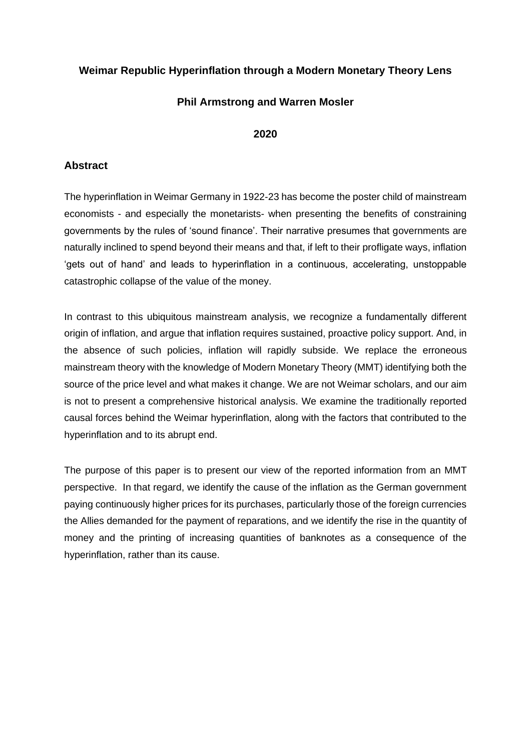# **Weimar Republic Hyperinflation through a Modern Monetary Theory Lens**

## **Phil Armstrong and Warren Mosler**

## **2020**

# **Abstract**

The hyperinflation in Weimar Germany in 1922-23 has become the poster child of mainstream economists - and especially the monetarists- when presenting the benefits of constraining governments by the rules of 'sound finance'. Their narrative presumes that governments are naturally inclined to spend beyond their means and that, if left to their profligate ways, inflation 'gets out of hand' and leads to hyperinflation in a continuous, accelerating, unstoppable catastrophic collapse of the value of the money.

In contrast to this ubiquitous mainstream analysis, we recognize a fundamentally different origin of inflation, and argue that inflation requires sustained, proactive policy support. And, in the absence of such policies, inflation will rapidly subside. We replace the erroneous mainstream theory with the knowledge of Modern Monetary Theory (MMT) identifying both the source of the price level and what makes it change. We are not Weimar scholars, and our aim is not to present a comprehensive historical analysis. We examine the traditionally reported causal forces behind the Weimar hyperinflation, along with the factors that contributed to the hyperinflation and to its abrupt end.

The purpose of this paper is to present our view of the reported information from an MMT perspective. In that regard, we identify the cause of the inflation as the German government paying continuously higher prices for its purchases, particularly those of the foreign currencies the Allies demanded for the payment of reparations, and we identify the rise in the quantity of money and the printing of increasing quantities of banknotes as a consequence of the hyperinflation, rather than its cause.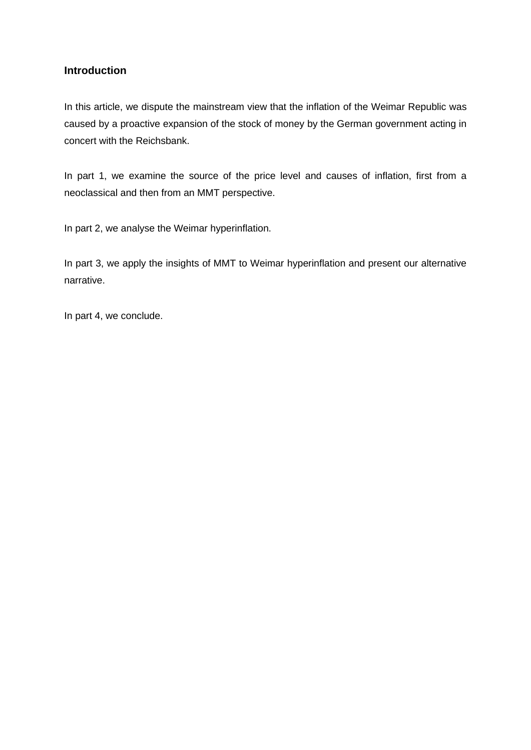## **Introduction**

In this article, we dispute the mainstream view that the inflation of the Weimar Republic was caused by a proactive expansion of the stock of money by the German government acting in concert with the Reichsbank.

In part 1, we examine the source of the price level and causes of inflation, first from a neoclassical and then from an MMT perspective.

In part 2, we analyse the Weimar hyperinflation.

In part 3, we apply the insights of MMT to Weimar hyperinflation and present our alternative narrative.

In part 4, we conclude.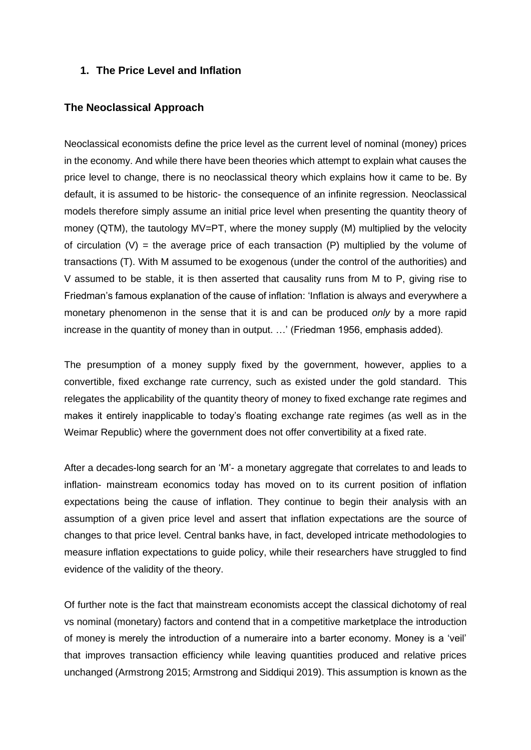## **1. The Price Level and Inflation**

### **The Neoclassical Approach**

Neoclassical economists define the price level as the current level of nominal (money) prices in the economy. And while there have been theories which attempt to explain what causes the price level to change, there is no neoclassical theory which explains how it came to be. By default, it is assumed to be historic- the consequence of an infinite regression. Neoclassical models therefore simply assume an initial price level when presenting the quantity theory of money (QTM), the tautology MV=PT, where the money supply (M) multiplied by the velocity of circulation  $(V)$  = the average price of each transaction  $(P)$  multiplied by the volume of transactions (T). With M assumed to be exogenous (under the control of the authorities) and V assumed to be stable, it is then asserted that causality runs from M to P, giving rise to Friedman's famous explanation of the cause of inflation: ['Inflation](https://en.wikiquote.org/wiki/Inflation) is always and everywhere a monetary phenomenon in the sense that it is and can be produced *only* by a more rapid increase in the quantity of money than in output. …' (Friedman 1956, emphasis added).

The presumption of a money supply fixed by the government, however, applies to a convertible, fixed exchange rate currency, such as existed under the gold standard. This relegates the applicability of the quantity theory of money to fixed exchange rate regimes and makes it entirely inapplicable to today's floating exchange rate regimes (as well as in the Weimar Republic) where the government does not offer convertibility at a fixed rate.

After a decades-long search for an 'M'- a monetary aggregate that correlates to and leads to inflation- mainstream economics today has moved on to its current position of inflation expectations being the cause of inflation. They continue to begin their analysis with an assumption of a given price level and assert that inflation expectations are the source of changes to that price level. Central banks have, in fact, developed intricate methodologies to measure inflation expectations to quide policy, while their researchers have struggled to find evidence of the validity of the theory.

Of further note is the fact that mainstream economists accept the classical dichotomy of real vs nominal (monetary) factors and contend that in a competitive marketplace the introduction of money is merely the introduction of a numeraire into a barter economy. Money is a 'veil' that improves transaction efficiency while leaving quantities produced and relative prices unchanged (Armstrong 2015; Armstrong and Siddiqui 2019). This assumption is known as the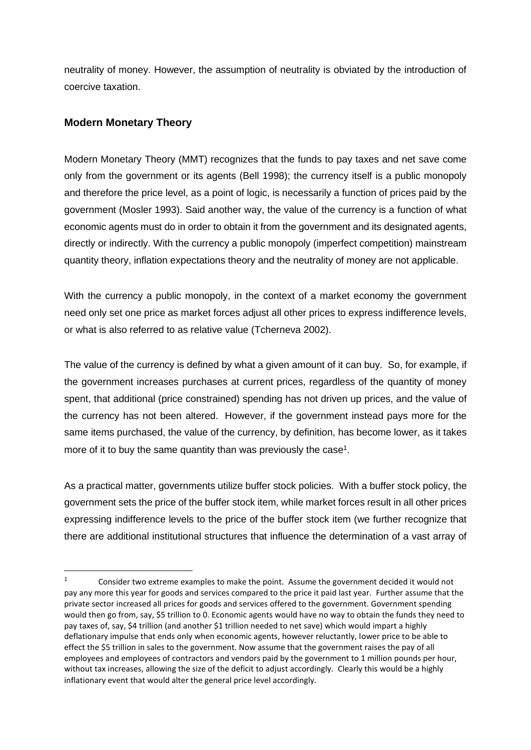neutrality of money. However, the assumption of neutrality is obviated by the introduction of coercive taxation.

# **Modern Monetary Theory**

Modern Monetary Theory (MMT) recognizes that the funds to pay taxes and net save come only from the government or its agents (Bell 1998); the currency itself is a public monopoly and therefore the price level, as a point of logic, is necessarily a function of prices paid by the government (Mosler 1993). Said another way, the value of the currency is a function of what economic agents must do in order to obtain it from the government and its designated agents, directly or indirectly. With the currency a public monopoly (imperfect competition) mainstream quantity theory, inflation expectations theory and the neutrality of money are not applicable.

With the currency a public monopoly, in the context of a market economy the government need only set one price as market forces adjust all other prices to express indifference levels, or what is also referred to as relative value (Tcherneva 2002).

The value of the currency is defined by what a given amount of it can buy. So, for example, if the government increases purchases at current prices, regardless of the quantity of money spent, that additional (price constrained) spending has not driven up prices, and the value of the currency has not been altered. However, if the government instead pays more for the same items purchased, the value of the currency, by definition, has become lower, as it takes more of it to buy the same quantity than was previously the case<sup>1</sup>.

As a practical matter, governments utilize buffer stock policies. With a buffer stock policy, the government sets the price of the buffer stock item, while market forces result in all other prices expressing indifference levels to the price of the buffer stock item (we further recognize that there are additional institutional structures that influence the determination of a vast array of

<sup>&</sup>lt;sup>1</sup> Consider two extreme examples to make the point. Assume the government decided it would not pay any more this year for goods and services compared to the price it paid last year. Further assume that the private sector increased all prices for goods and services offered to the government. Government spending would then go from, say, \$5 trillion to 0. Economic agents would have no way to obtain the funds they need to pay taxes of, say, \$4 trillion (and another \$1 trillion needed to net save) which would impart a highly deflationary impulse that ends only when economic agents, however reluctantly, lower price to be able to effect the \$5 trillion in sales to the government. Now assume that the government raises the pay of all employees and employees of contractors and vendors paid by the government to 1 million pounds per hour, without tax increases, allowing the size of the deficit to adjust accordingly. Clearly this would be a highly inflationary event that would alter the general price level accordingly.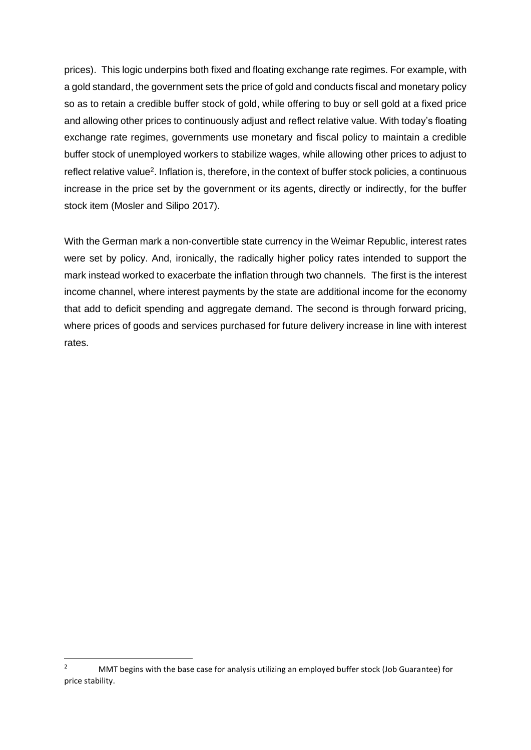prices). This logic underpins both fixed and floating exchange rate regimes. For example, with a gold standard, the government sets the price of gold and conducts fiscal and monetary policy so as to retain a credible buffer stock of gold, while offering to buy or sell gold at a fixed price and allowing other prices to continuously adjust and reflect relative value. With today's floating exchange rate regimes, governments use monetary and fiscal policy to maintain a credible buffer stock of unemployed workers to stabilize wages, while allowing other prices to adjust to reflect relative value<sup>2</sup>. Inflation is, therefore, in the context of buffer stock policies, a continuous increase in the price set by the government or its agents, directly or indirectly, for the buffer stock item (Mosler and Silipo 2017).

With the German mark a non-convertible state currency in the Weimar Republic, interest rates were set by policy. And, ironically, the radically higher policy rates intended to support the mark instead worked to exacerbate the inflation through two channels. The first is the interest income channel, where interest payments by the state are additional income for the economy that add to deficit spending and aggregate demand. The second is through forward pricing, where prices of goods and services purchased for future delivery increase in line with interest rates.

<sup>&</sup>lt;sup>2</sup> MMT begins with the base case for analysis utilizing an employed buffer stock (Job Guarantee) for price stability.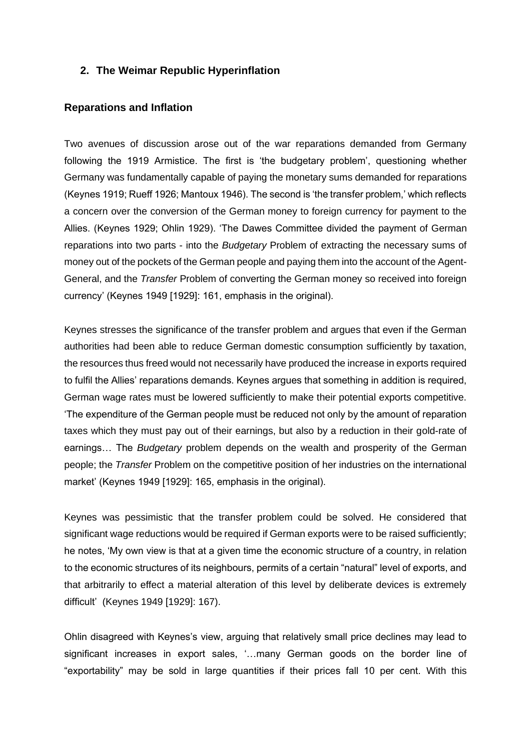## **2. The Weimar Republic Hyperinflation**

### **Reparations and Inflation**

Two avenues of discussion arose out of the war reparations demanded from Germany following the 1919 Armistice. The first is 'the budgetary problem', questioning whether Germany was fundamentally capable of paying the monetary sums demanded for reparations (Keynes 1919; Rueff 1926; Mantoux 1946). The second is 'the transfer problem,' which reflects a concern over the conversion of the German money to foreign currency for payment to the Allies. (Keynes 1929; Ohlin 1929). 'The Dawes Committee divided the payment of German reparations into two parts - into the *Budgetary* Problem of extracting the necessary sums of money out of the pockets of the German people and paying them into the account of the Agent-General, and the *Transfer* Problem of converting the German money so received into foreign currency' (Keynes 1949 [1929]: 161, emphasis in the original).

Keynes stresses the significance of the transfer problem and argues that even if the German authorities had been able to reduce German domestic consumption sufficiently by taxation, the resources thus freed would not necessarily have produced the increase in exports required to fulfil the Allies' reparations demands. Keynes argues that something in addition is required, German wage rates must be lowered sufficiently to make their potential exports competitive. 'The expenditure of the German people must be reduced not only by the amount of reparation taxes which they must pay out of their earnings, but also by a reduction in their gold-rate of earnings… The *Budgetary* problem depends on the wealth and prosperity of the German people; the *Transfer* Problem on the competitive position of her industries on the international market' (Keynes 1949 [1929]: 165, emphasis in the original).

Keynes was pessimistic that the transfer problem could be solved. He considered that significant wage reductions would be required if German exports were to be raised sufficiently; he notes, 'My own view is that at a given time the economic structure of a country, in relation to the economic structures of its neighbours, permits of a certain "natural" level of exports, and that arbitrarily to effect a material alteration of this level by deliberate devices is extremely difficult' (Keynes 1949 [1929]: 167).

Ohlin disagreed with Keynes's view, arguing that relatively small price declines may lead to significant increases in export sales, '…many German goods on the border line of "exportability" may be sold in large quantities if their prices fall 10 per cent. With this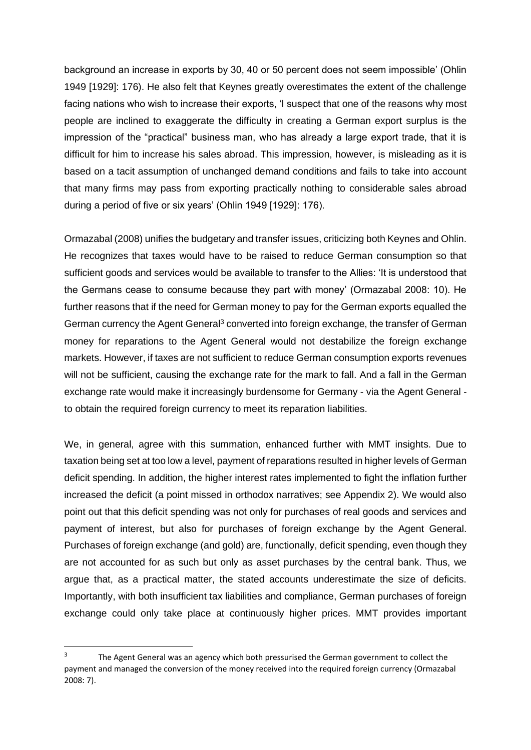background an increase in exports by 30, 40 or 50 percent does not seem impossible' (Ohlin 1949 [1929]: 176). He also felt that Keynes greatly overestimates the extent of the challenge facing nations who wish to increase their exports, 'I suspect that one of the reasons why most people are inclined to exaggerate the difficulty in creating a German export surplus is the impression of the "practical" business man, who has already a large export trade, that it is difficult for him to increase his sales abroad. This impression, however, is misleading as it is based on a tacit assumption of unchanged demand conditions and fails to take into account that many firms may pass from exporting practically nothing to considerable sales abroad during a period of five or six years' (Ohlin 1949 [1929]: 176).

Ormazabal (2008) unifies the budgetary and transfer issues, criticizing both Keynes and Ohlin. He recognizes that taxes would have to be raised to reduce German consumption so that sufficient goods and services would be available to transfer to the Allies: 'It is understood that the Germans cease to consume because they part with money' (Ormazabal 2008: 10). He further reasons that if the need for German money to pay for the German exports equalled the German currency the Agent General<sup>3</sup> converted into foreign exchange, the transfer of German money for reparations to the Agent General would not destabilize the foreign exchange markets. However, if taxes are not sufficient to reduce German consumption exports revenues will not be sufficient, causing the exchange rate for the mark to fall. And a fall in the German exchange rate would make it increasingly burdensome for Germany - via the Agent General to obtain the required foreign currency to meet its reparation liabilities.

We, in general, agree with this summation, enhanced further with MMT insights. Due to taxation being set at too low a level, payment of reparations resulted in higher levels of German deficit spending. In addition, the higher interest rates implemented to fight the inflation further increased the deficit (a point missed in orthodox narratives; see Appendix 2). We would also point out that this deficit spending was not only for purchases of real goods and services and payment of interest, but also for purchases of foreign exchange by the Agent General. Purchases of foreign exchange (and gold) are, functionally, deficit spending, even though they are not accounted for as such but only as asset purchases by the central bank. Thus, we argue that, as a practical matter, the stated accounts underestimate the size of deficits. Importantly, with both insufficient tax liabilities and compliance, German purchases of foreign exchange could only take place at continuously higher prices. MMT provides important

<sup>3</sup> The Agent General was an agency which both pressurised the German government to collect the payment and managed the conversion of the money received into the required foreign currency (Ormazabal 2008: 7).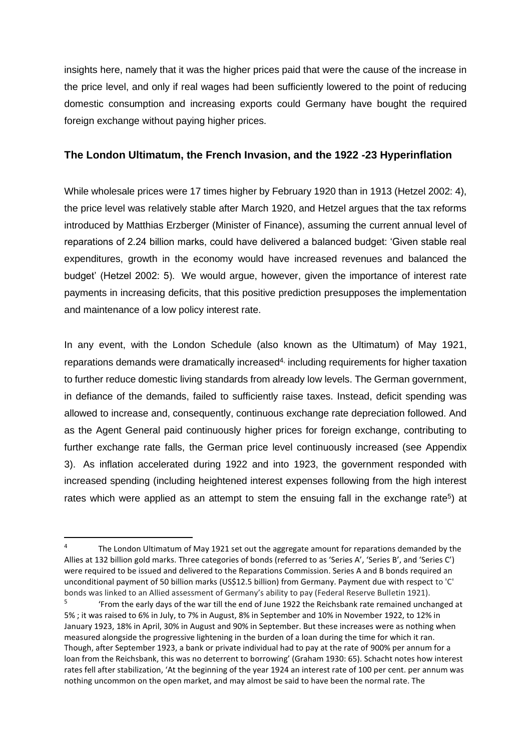insights here, namely that it was the higher prices paid that were the cause of the increase in the price level, and only if real wages had been sufficiently lowered to the point of reducing domestic consumption and increasing exports could Germany have bought the required foreign exchange without paying higher prices.

# **The London Ultimatum, the French Invasion, and the 1922 -23 Hyperinflation**

While wholesale prices were 17 times higher by February 1920 than in 1913 (Hetzel 2002: 4), the price level was relatively stable after March 1920, and Hetzel argues that the tax reforms introduced by Matthias Erzberger (Minister of Finance), assuming the current annual level of reparations of 2.24 billion marks, could have delivered a balanced budget: 'Given stable real expenditures, growth in the economy would have increased revenues and balanced the budget' (Hetzel 2002: 5). We would argue, however, given the importance of interest rate payments in increasing deficits, that this positive prediction presupposes the implementation and maintenance of a low policy interest rate.

In any event, with the London Schedule (also known as the Ultimatum) of May 1921, reparations demands were dramatically increased<sup>4,</sup> including requirements for higher taxation to further reduce domestic living standards from already low levels. The German government, in defiance of the demands, failed to sufficiently raise taxes. Instead, deficit spending was allowed to increase and, consequently, continuous exchange rate depreciation followed. And as the Agent General paid continuously higher prices for foreign exchange, contributing to further exchange rate falls, the German price level continuously increased (see Appendix 3). As inflation accelerated during 1922 and into 1923, the government responded with increased spending (including heightened interest expenses following from the high interest rates which were applied as an attempt to stem the ensuing fall in the exchange rate<sup>5</sup>) at

<sup>4</sup> The London Ultimatum of May 1921 set out the aggregate amount for reparations demanded by the Allies at 132 billion gold marks. Three categories of bonds (referred to as 'Series A', 'Series B', and 'Series C') were required to be issued and delivered to the Reparations Commission. Series A and B bonds required an unconditional payment of 50 billion marks (US\$12.5 billion) from Germany. Payment due with respect to 'C' bonds was linked to an Allied assessment of Germany's ability to pay (Federal Reserve Bulletin 1921).

<sup>5</sup> 'From the early days of the war till the end of June 1922 the Reichsbank rate remained unchanged at 5% ; it was raised to 6% in July, to 7% in August, 8% in September and 10% in November 1922, to 12% in January 1923, 18% in April, 30% in August and 90% in September. But these increases were as nothing when measured alongside the progressive lightening in the burden of a loan during the time for which it ran. Though, after September 1923, a bank or private individual had to pay at the rate of 900% per annum for a loan from the Reichsbank, this was no deterrent to borrowing' (Graham 1930: 65). Schacht notes how interest rates fell after stabilization, 'At the beginning of the year 1924 an interest rate of 100 per cent. per annum was nothing uncommon on the open market, and may almost be said to have been the normal rate. The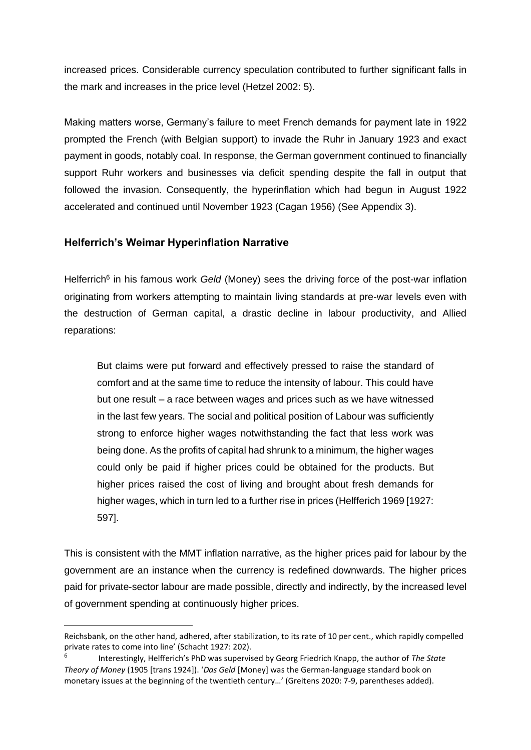increased prices. Considerable currency speculation contributed to further significant falls in the mark and increases in the price level (Hetzel 2002: 5).

Making matters worse, Germany's failure to meet French demands for payment late in 1922 prompted the French (with Belgian support) to invade the Ruhr in January 1923 and exact payment in goods, notably coal. In response, the German government continued to financially support Ruhr workers and businesses via deficit spending despite the fall in output that followed the invasion. Consequently, the hyperinflation which had begun in August 1922 accelerated and continued until November 1923 (Cagan 1956) (See Appendix 3).

## **Helferrich's Weimar Hyperinflation Narrative**

Helferrich<sup>6</sup> in his famous work *Geld* (Money) sees the driving force of the post-war inflation originating from workers attempting to maintain living standards at pre-war levels even with the destruction of German capital, a drastic decline in labour productivity, and Allied reparations:

But claims were put forward and effectively pressed to raise the standard of comfort and at the same time to reduce the intensity of labour. This could have but one result – a race between wages and prices such as we have witnessed in the last few years. The social and political position of Labour was sufficiently strong to enforce higher wages notwithstanding the fact that less work was being done. As the profits of capital had shrunk to a minimum, the higher wages could only be paid if higher prices could be obtained for the products. But higher prices raised the cost of living and brought about fresh demands for higher wages, which in turn led to a further rise in prices (Helfferich 1969 [1927: 597].

This is consistent with the MMT inflation narrative, as the higher prices paid for labour by the government are an instance when the currency is redefined downwards. The higher prices paid for private-sector labour are made possible, directly and indirectly, by the increased level of government spending at continuously higher prices.

Reichsbank, on the other hand, adhered, after stabilization, to its rate of 10 per cent., which rapidly compelled private rates to come into line' (Schacht 1927: 202).

<sup>6</sup> Interestingly, Helfferich's PhD was supervised by Georg Friedrich Knapp, the author of *The State Theory of Money* (1905 [trans 1924]). '*Das Geld* [Money] was the German-language standard book on monetary issues at the beginning of the twentieth century…' (Greitens 2020: 7-9, parentheses added).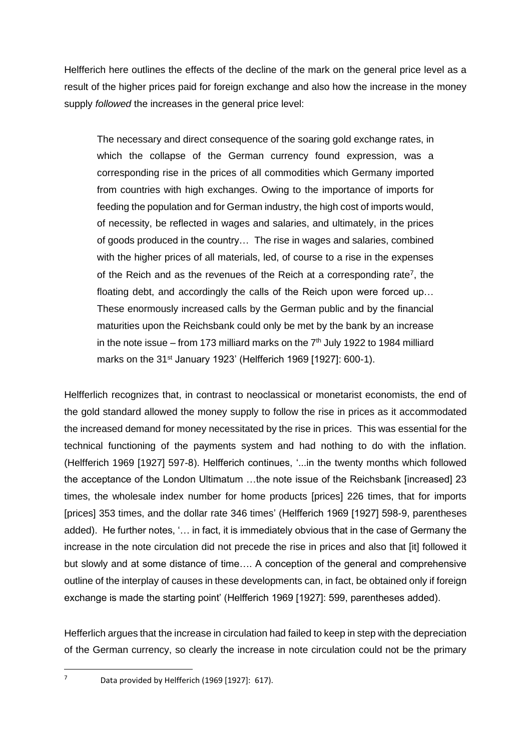Helfferich here outlines the effects of the decline of the mark on the general price level as a result of the higher prices paid for foreign exchange and also how the increase in the money supply *followed* the increases in the general price level:

The necessary and direct consequence of the soaring gold exchange rates, in which the collapse of the German currency found expression, was a corresponding rise in the prices of all commodities which Germany imported from countries with high exchanges. Owing to the importance of imports for feeding the population and for German industry, the high cost of imports would, of necessity, be reflected in wages and salaries, and ultimately, in the prices of goods produced in the country… The rise in wages and salaries, combined with the higher prices of all materials, led, of course to a rise in the expenses of the Reich and as the revenues of the Reich at a corresponding rate<sup>7</sup>, the floating debt, and accordingly the calls of the Reich upon were forced up… These enormously increased calls by the German public and by the financial maturities upon the Reichsbank could only be met by the bank by an increase in the note issue – from 173 milliard marks on the  $7<sup>th</sup>$  July 1922 to 1984 milliard marks on the 31<sup>st</sup> January 1923' (Helfferich 1969 [1927]: 600-1).

Helfferlich recognizes that, in contrast to neoclassical or monetarist economists, the end of the gold standard allowed the money supply to follow the rise in prices as it accommodated the increased demand for money necessitated by the rise in prices. This was essential for the technical functioning of the payments system and had nothing to do with the inflation. (Helfferich 1969 [1927] 597-8). Helfferich continues, '...in the twenty months which followed the acceptance of the London Ultimatum …the note issue of the Reichsbank [increased] 23 times, the wholesale index number for home products [prices] 226 times, that for imports [prices] 353 times, and the dollar rate 346 times' (Helfferich 1969 [1927] 598-9, parentheses added). He further notes, '… in fact, it is immediately obvious that in the case of Germany the increase in the note circulation did not precede the rise in prices and also that [it] followed it but slowly and at some distance of time…. A conception of the general and comprehensive outline of the interplay of causes in these developments can, in fact, be obtained only if foreign exchange is made the starting point' (Helfferich 1969 [1927]: 599, parentheses added).

Hefferlich argues that the increase in circulation had failed to keep in step with the depreciation of the German currency, so clearly the increase in note circulation could not be the primary

 $7$  Data provided by Helfferich (1969 [1927]: 617).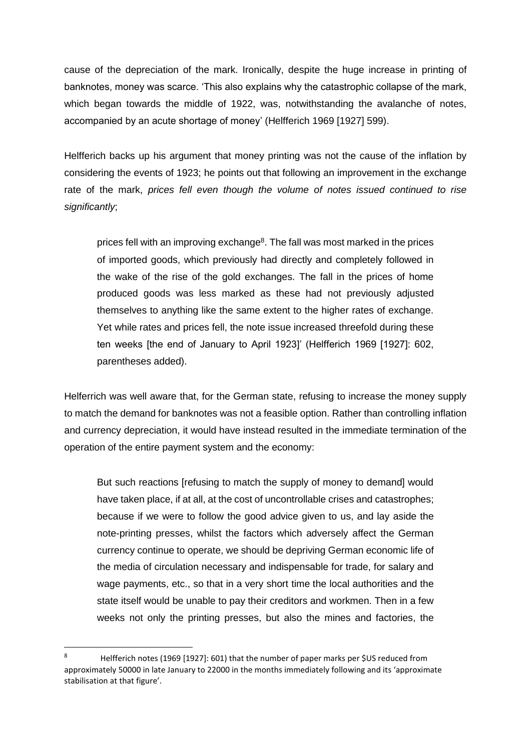cause of the depreciation of the mark. Ironically, despite the huge increase in printing of banknotes, money was scarce. 'This also explains why the catastrophic collapse of the mark, which began towards the middle of 1922, was, notwithstanding the avalanche of notes, accompanied by an acute shortage of money' (Helfferich 1969 [1927] 599).

Helfferich backs up his argument that money printing was not the cause of the inflation by considering the events of 1923; he points out that following an improvement in the exchange rate of the mark, *prices fell even though the volume of notes issued continued to rise significantly*;

prices fell with an improving exchange<sup>8</sup>. The fall was most marked in the prices of imported goods, which previously had directly and completely followed in the wake of the rise of the gold exchanges. The fall in the prices of home produced goods was less marked as these had not previously adjusted themselves to anything like the same extent to the higher rates of exchange. Yet while rates and prices fell, the note issue increased threefold during these ten weeks [the end of January to April 1923]' (Helfferich 1969 [1927]: 602, parentheses added).

Helferrich was well aware that, for the German state, refusing to increase the money supply to match the demand for banknotes was not a feasible option. Rather than controlling inflation and currency depreciation, it would have instead resulted in the immediate termination of the operation of the entire payment system and the economy:

But such reactions [refusing to match the supply of money to demand] would have taken place, if at all, at the cost of uncontrollable crises and catastrophes; because if we were to follow the good advice given to us, and lay aside the note-printing presses, whilst the factors which adversely affect the German currency continue to operate, we should be depriving German economic life of the media of circulation necessary and indispensable for trade, for salary and wage payments, etc., so that in a very short time the local authorities and the state itself would be unable to pay their creditors and workmen. Then in a few weeks not only the printing presses, but also the mines and factories, the

<sup>8</sup> Helfferich notes (1969 [1927]: 601) that the number of paper marks per \$US reduced from approximately 50000 in late January to 22000 in the months immediately following and its 'approximate stabilisation at that figure'.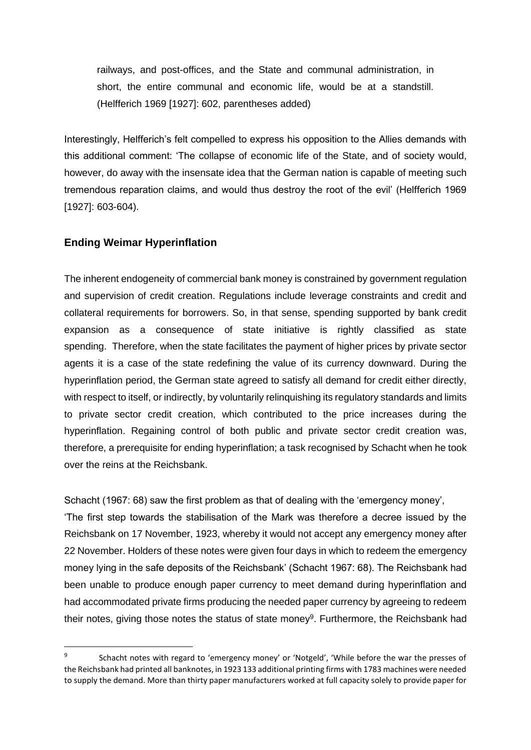railways, and post-offices, and the State and communal administration, in short, the entire communal and economic life, would be at a standstill. (Helfferich 1969 [1927]: 602, parentheses added)

Interestingly, Helfferich's felt compelled to express his opposition to the Allies demands with this additional comment: 'The collapse of economic life of the State, and of society would, however, do away with the insensate idea that the German nation is capable of meeting such tremendous reparation claims, and would thus destroy the root of the evil' (Helfferich 1969 [1927]: 603-604).

## **Ending Weimar Hyperinflation**

The inherent endogeneity of commercial bank money is constrained by government regulation and supervision of credit creation. Regulations include leverage constraints and credit and collateral requirements for borrowers. So, in that sense, spending supported by bank credit expansion as a consequence of state initiative is rightly classified as state spending. Therefore, when the state facilitates the payment of higher prices by private sector agents it is a case of the state redefining the value of its currency downward. During the hyperinflation period, the German state agreed to satisfy all demand for credit either directly, with respect to itself, or indirectly, by voluntarily relinquishing its regulatory standards and limits to private sector credit creation, which contributed to the price increases during the hyperinflation. Regaining control of both public and private sector credit creation was, therefore, a prerequisite for ending hyperinflation; a task recognised by Schacht when he took over the reins at the Reichsbank.

Schacht (1967: 68) saw the first problem as that of dealing with the 'emergency money', 'The first step towards the stabilisation of the Mark was therefore a decree issued by the Reichsbank on 17 November, 1923, whereby it would not accept any emergency money after 22 November. Holders of these notes were given four days in which to redeem the emergency money lying in the safe deposits of the Reichsbank' (Schacht 1967: 68). The Reichsbank had been unable to produce enough paper currency to meet demand during hyperinflation and had accommodated private firms producing the needed paper currency by agreeing to redeem their notes, giving those notes the status of state money<sup>9</sup>. Furthermore, the Reichsbank had

<sup>9</sup> Schacht notes with regard to 'emergency money' or 'Notgeld', 'While before the war the presses of the Reichsbank had printed all banknotes, in 1923 133 additional printing firms with 1783 machines were needed to supply the demand. More than thirty paper manufacturers worked at full capacity solely to provide paper for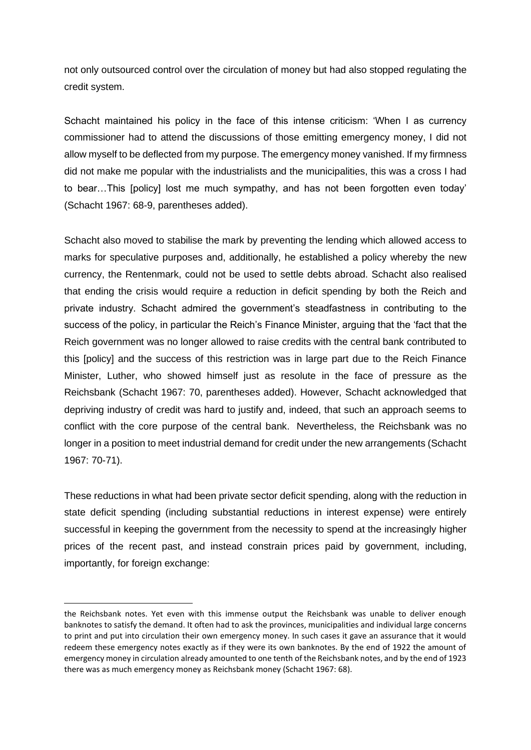not only outsourced control over the circulation of money but had also stopped regulating the credit system.

Schacht maintained his policy in the face of this intense criticism: 'When I as currency commissioner had to attend the discussions of those emitting emergency money, I did not allow myself to be deflected from my purpose. The emergency money vanished. If my firmness did not make me popular with the industrialists and the municipalities, this was a cross I had to bear…This [policy] lost me much sympathy, and has not been forgotten even today' (Schacht 1967: 68-9, parentheses added).

Schacht also moved to stabilise the mark by preventing the lending which allowed access to marks for speculative purposes and, additionally, he established a policy whereby the new currency, the Rentenmark, could not be used to settle debts abroad. Schacht also realised that ending the crisis would require a reduction in deficit spending by both the Reich and private industry. Schacht admired the government's steadfastness in contributing to the success of the policy, in particular the Reich's Finance Minister, arguing that the 'fact that the Reich government was no longer allowed to raise credits with the central bank contributed to this [policy] and the success of this restriction was in large part due to the Reich Finance Minister, Luther, who showed himself just as resolute in the face of pressure as the Reichsbank (Schacht 1967: 70, parentheses added). However, Schacht acknowledged that depriving industry of credit was hard to justify and, indeed, that such an approach seems to conflict with the core purpose of the central bank. Nevertheless, the Reichsbank was no longer in a position to meet industrial demand for credit under the new arrangements (Schacht 1967: 70-71).

These reductions in what had been private sector deficit spending, along with the reduction in state deficit spending (including substantial reductions in interest expense) were entirely successful in keeping the government from the necessity to spend at the increasingly higher prices of the recent past, and instead constrain prices paid by government, including, importantly, for foreign exchange:

the Reichsbank notes. Yet even with this immense output the Reichsbank was unable to deliver enough banknotes to satisfy the demand. It often had to ask the provinces, municipalities and individual large concerns to print and put into circulation their own emergency money. In such cases it gave an assurance that it would redeem these emergency notes exactly as if they were its own banknotes. By the end of 1922 the amount of emergency money in circulation already amounted to one tenth of the Reichsbank notes, and by the end of 1923 there was as much emergency money as Reichsbank money (Schacht 1967: 68).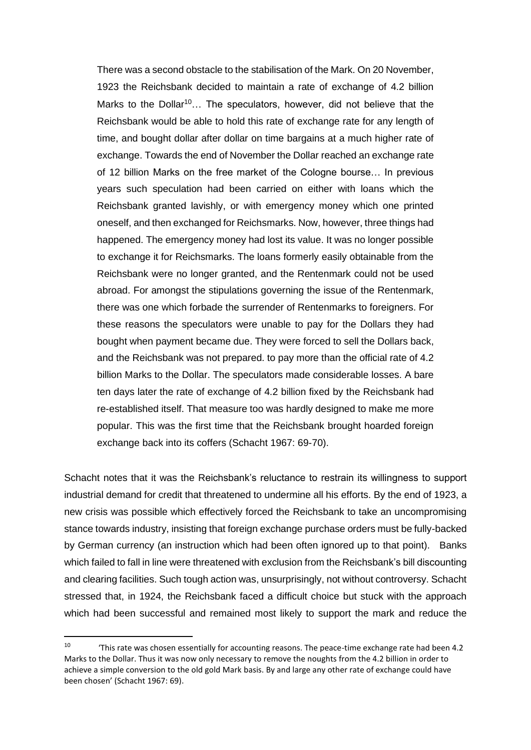There was a second obstacle to the stabilisation of the Mark. On 20 November, 1923 the Reichsbank decided to maintain a rate of exchange of 4.2 billion Marks to the Dollar<sup>10</sup>... The speculators, however, did not believe that the Reichsbank would be able to hold this rate of exchange rate for any length of time, and bought dollar after dollar on time bargains at a much higher rate of exchange. Towards the end of November the Dollar reached an exchange rate of 12 billion Marks on the free market of the Cologne bourse… In previous years such speculation had been carried on either with loans which the Reichsbank granted lavishly, or with emergency money which one printed oneself, and then exchanged for Reichsmarks. Now, however, three things had happened. The emergency money had lost its value. It was no longer possible to exchange it for Reichsmarks. The loans formerly easily obtainable from the Reichsbank were no longer granted, and the Rentenmark could not be used abroad. For amongst the stipulations governing the issue of the Rentenmark, there was one which forbade the surrender of Rentenmarks to foreigners. For these reasons the speculators were unable to pay for the Dollars they had bought when payment became due. They were forced to sell the Dollars back, and the Reichsbank was not prepared. to pay more than the official rate of 4.2 billion Marks to the Dollar. The speculators made considerable losses. A bare ten days later the rate of exchange of 4.2 billion fixed by the Reichsbank had re-established itself. That measure too was hardly designed to make me more popular. This was the first time that the Reichsbank brought hoarded foreign exchange back into its coffers (Schacht 1967: 69-70).

Schacht notes that it was the Reichsbank's reluctance to restrain its willingness to support industrial demand for credit that threatened to undermine all his efforts. By the end of 1923, a new crisis was possible which effectively forced the Reichsbank to take an uncompromising stance towards industry, insisting that foreign exchange purchase orders must be fully-backed by German currency (an instruction which had been often ignored up to that point). Banks which failed to fall in line were threatened with exclusion from the Reichsbank's bill discounting and clearing facilities. Such tough action was, unsurprisingly, not without controversy. Schacht stressed that, in 1924, the Reichsbank faced a difficult choice but stuck with the approach which had been successful and remained most likely to support the mark and reduce the

<sup>10</sup> 'This rate was chosen essentially for accounting reasons. The peace-time exchange rate had been 4.2 Marks to the Dollar. Thus it was now only necessary to remove the noughts from the 4.2 billion in order to achieve a simple conversion to the old gold Mark basis. By and large any other rate of exchange could have been chosen' (Schacht 1967: 69).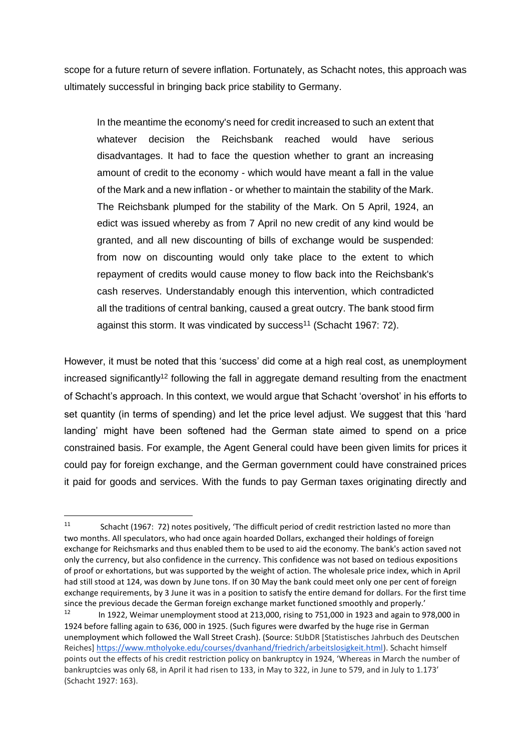scope for a future return of severe inflation. Fortunately, as Schacht notes, this approach was ultimately successful in bringing back price stability to Germany.

In the meantime the economy's need for credit increased to such an extent that whatever decision the Reichsbank reached would have serious disadvantages. It had to face the question whether to grant an increasing amount of credit to the economy - which would have meant a fall in the value of the Mark and a new inflation - or whether to maintain the stability of the Mark. The Reichsbank plumped for the stability of the Mark. On 5 April, 1924, an edict was issued whereby as from 7 April no new credit of any kind would be granted, and all new discounting of bills of exchange would be suspended: from now on discounting would only take place to the extent to which repayment of credits would cause money to flow back into the Reichsbank's cash reserves. Understandably enough this intervention, which contradicted all the traditions of central banking, caused a great outcry. The bank stood firm against this storm. It was vindicated by success<sup>11</sup> (Schacht 1967: 72).

However, it must be noted that this 'success' did come at a high real cost, as unemployment increased significantly<sup>12</sup> following the fall in aggregate demand resulting from the enactment of Schacht's approach. In this context, we would argue that Schacht 'overshot' in his efforts to set quantity (in terms of spending) and let the price level adjust. We suggest that this 'hard landing' might have been softened had the German state aimed to spend on a price constrained basis. For example, the Agent General could have been given limits for prices it could pay for foreign exchange, and the German government could have constrained prices it paid for goods and services. With the funds to pay German taxes originating directly and

<sup>11</sup> Schacht (1967: 72) notes positively, 'The difficult period of credit restriction lasted no more than two months. All speculators, who had once again hoarded Dollars, exchanged their holdings of foreign exchange for Reichsmarks and thus enabled them to be used to aid the economy. The bank's action saved not only the currency, but also confidence in the currency. This confidence was not based on tedious expositions of proof or exhortations, but was supported by the weight of action. The wholesale price index, which in April had still stood at 124, was down by June tons. If on 30 May the bank could meet only one per cent of foreign exchange requirements, by 3 June it was in a position to satisfy the entire demand for dollars. For the first time since the previous decade the German foreign exchange market functioned smoothly and properly.'<br>12

<sup>12</sup> In 1922, Weimar unemployment stood at 213,000, rising to 751,000 in 1923 and again to 978,000 in 1924 before falling again to 636, 000 in 1925. (Such figures were dwarfed by the huge rise in German unemployment which followed the Wall Street Crash). (Source: StJbDR [Statistisches Jahrbuch des Deutschen Reiches[\] https://www.mtholyoke.edu/courses/dvanhand/friedrich/arbeitslosigkeit.html\)](https://www.mtholyoke.edu/courses/dvanhand/friedrich/arbeitslosigkeit.html). Schacht himself points out the effects of his credit restriction policy on bankruptcy in 1924, 'Whereas in March the number of bankruptcies was only 68, in April it had risen to 133, in May to 322, in June to 579, and in July to 1.173' (Schacht 1927: 163).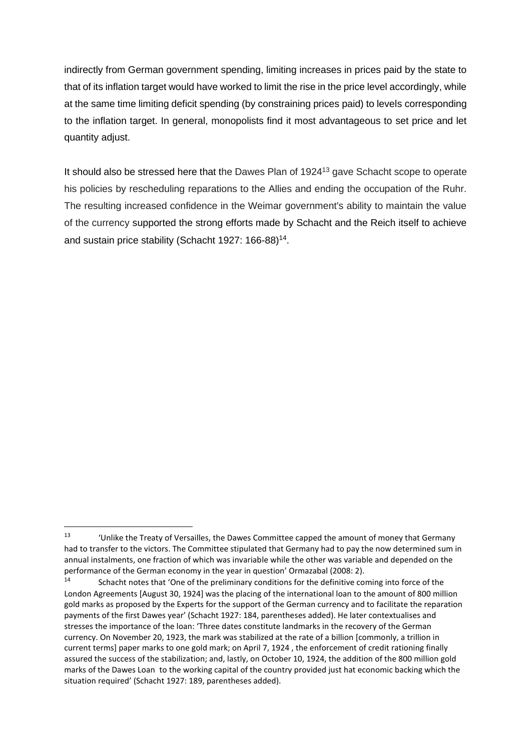indirectly from German government spending, limiting increases in prices paid by the state to that of its inflation target would have worked to limit the rise in the price level accordingly, while at the same time limiting deficit spending (by constraining prices paid) to levels corresponding to the inflation target. In general, monopolists find it most advantageous to set price and let quantity adjust.

It should also be stressed here that the Dawes Plan of 1924<sup>13</sup> gave Schacht scope to operate his policies by rescheduling reparations to the Allies and ending the occupation of the Ruhr. The resulting increased confidence in the Weimar government's ability to maintain the value of the currency supported the strong efforts made by Schacht and the Reich itself to achieve and sustain price stability (Schacht 1927: 166-88)<sup>14</sup>.

<sup>&</sup>lt;sup>13</sup> 'Unlike the Treaty of Versailles, the Dawes Committee capped the amount of money that Germany had to transfer to the victors. The Committee stipulated that Germany had to pay the now determined sum in annual instalments, one fraction of which was invariable while the other was variable and depended on the performance of the German economy in the year in question' Ormazabal (2008: 2).

Schacht notes that 'One of the preliminary conditions for the definitive coming into force of the London Agreements [August 30, 1924] was the placing of the international loan to the amount of 800 million gold marks as proposed by the Experts for the support of the German currency and to facilitate the reparation payments of the first Dawes year' (Schacht 1927: 184, parentheses added). He later contextualises and stresses the importance of the loan: 'Three dates constitute landmarks in the recovery of the German currency. On November 20, 1923, the mark was stabilized at the rate of a billion [commonly, a trillion in current terms] paper marks to one gold mark; on April 7, 1924 , the enforcement of credit rationing finally assured the success of the stabilization; and, lastly, on October 10, 1924, the addition of the 800 million gold marks of the Dawes Loan to the working capital of the country provided just hat economic backing which the situation required' (Schacht 1927: 189, parentheses added).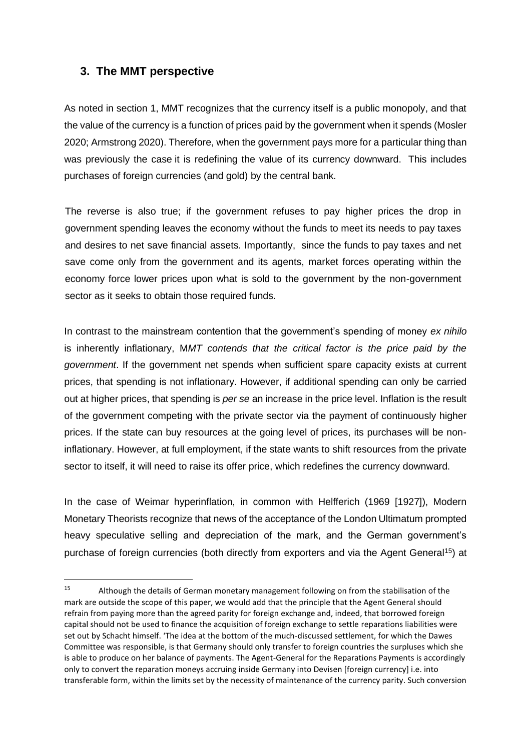# **3. The MMT perspective**

As noted in section 1, MMT recognizes that the currency itself is a public monopoly, and that the value of the currency is a function of prices paid by the government when it spends (Mosler 2020; Armstrong 2020). Therefore, when the government pays more for a particular thing than was previously the case it is redefining the value of its currency downward. This includes purchases of foreign currencies (and gold) by the central bank.

The reverse is also true; if the government refuses to pay higher prices the drop in government spending leaves the economy without the funds to meet its needs to pay taxes and desires to net save financial assets. Importantly, since the funds to pay taxes and net save come only from the government and its agents, market forces operating within the economy force lower prices upon what is sold to the government by the non-government sector as it seeks to obtain those required funds.

In contrast to the mainstream contention that the government's spending of money *ex nihilo* is inherently inflationary, M*MT contends that the critical factor is the price paid by the government*. If the government net spends when sufficient spare capacity exists at current prices, that spending is not inflationary. However, if additional spending can only be carried out at higher prices, that spending is *per se* an increase in the price level. Inflation is the result of the government competing with the private sector via the payment of continuously higher prices. If the state can buy resources at the going level of prices, its purchases will be noninflationary. However, at full employment, if the state wants to shift resources from the private sector to itself, it will need to raise its offer price, which redefines the currency downward.

In the case of Weimar hyperinflation, in common with Helfferich (1969 [1927]), Modern Monetary Theorists recognize that news of the acceptance of the London Ultimatum prompted heavy speculative selling and depreciation of the mark, and the German government's purchase of foreign currencies (both directly from exporters and via the Agent General<sup>15</sup>) at

<sup>&</sup>lt;sup>15</sup> Although the details of German monetary management following on from the stabilisation of the mark are outside the scope of this paper, we would add that the principle that the Agent General should refrain from paying more than the agreed parity for foreign exchange and, indeed, that borrowed foreign capital should not be used to finance the acquisition of foreign exchange to settle reparations liabilities were set out by Schacht himself. 'The idea at the bottom of the much-discussed settlement, for which the Dawes Committee was responsible, is that Germany should only transfer to foreign countries the surpluses which she is able to produce on her balance of payments. The Agent-General for the Reparations Payments is accordingly only to convert the reparation moneys accruing inside Germany into Devisen [foreign currency] i.e. into transferable form, within the limits set by the necessity of maintenance of the currency parity. Such conversion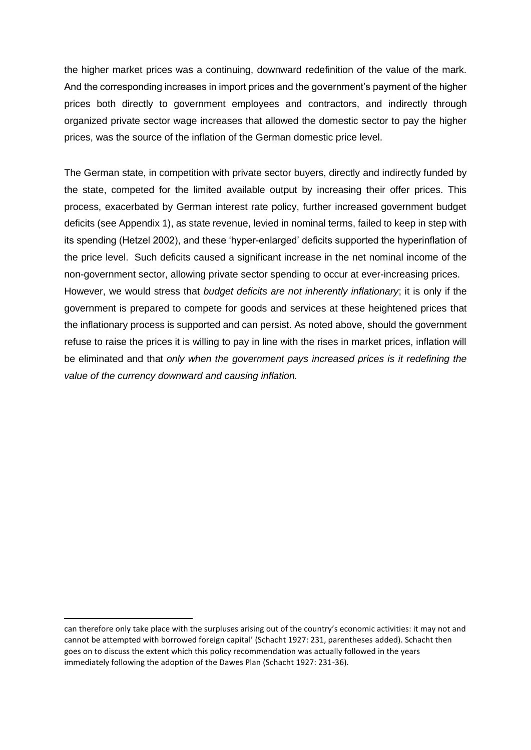the higher market prices was a continuing, downward redefinition of the value of the mark. And the corresponding increases in import prices and the government's payment of the higher prices both directly to government employees and contractors, and indirectly through organized private sector wage increases that allowed the domestic sector to pay the higher prices, was the source of the inflation of the German domestic price level.

The German state, in competition with private sector buyers, directly and indirectly funded by the state, competed for the limited available output by increasing their offer prices. This process, exacerbated by German interest rate policy, further increased government budget deficits (see Appendix 1), as state revenue, levied in nominal terms, failed to keep in step with its spending (Hetzel 2002), and these 'hyper-enlarged' deficits supported the hyperinflation of the price level. Such deficits caused a significant increase in the net nominal income of the non-government sector, allowing private sector spending to occur at ever-increasing prices. However, we would stress that *budget deficits are not inherently inflationary*; it is only if the government is prepared to compete for goods and services at these heightened prices that the inflationary process is supported and can persist. As noted above, should the government refuse to raise the prices it is willing to pay in line with the rises in market prices, inflation will be eliminated and that *only when the government pays increased prices is it redefining the value of the currency downward and causing inflation.*

can therefore only take place with the surpluses arising out of the country's economic activities: it may not and cannot be attempted with borrowed foreign capital' (Schacht 1927: 231, parentheses added). Schacht then goes on to discuss the extent which this policy recommendation was actually followed in the years immediately following the adoption of the Dawes Plan (Schacht 1927: 231-36).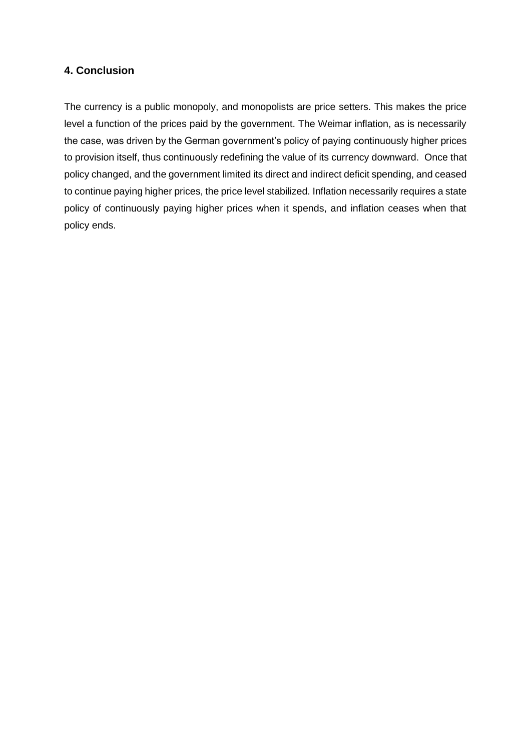# **4. Conclusion**

The currency is a public monopoly, and monopolists are price setters. This makes the price level a function of the prices paid by the government. The Weimar inflation, as is necessarily the case, was driven by the German government's policy of paying continuously higher prices to provision itself, thus continuously redefining the value of its currency downward. Once that policy changed, and the government limited its direct and indirect deficit spending, and ceased to continue paying higher prices, the price level stabilized. Inflation necessarily requires a state policy of continuously paying higher prices when it spends, and inflation ceases when that policy ends.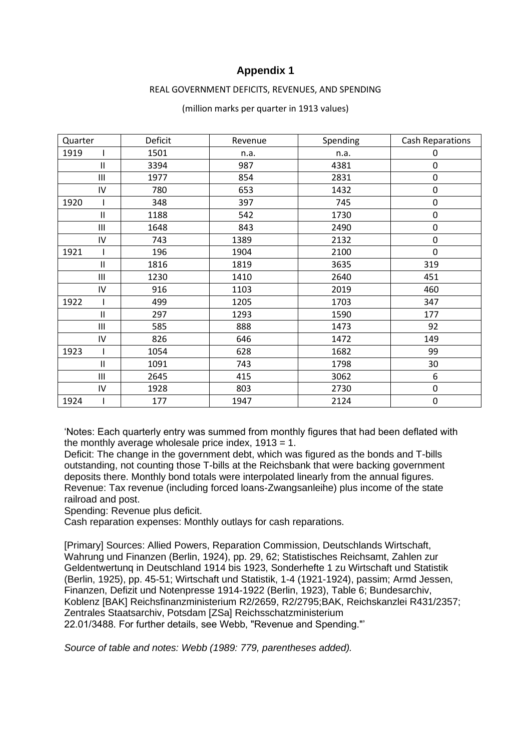# **Appendix 1**

#### REAL GOVERNMENT DEFICITS, REVENUES, AND SPENDING

| Quarter |              | Deficit | Revenue | Spending | <b>Cash Reparations</b> |
|---------|--------------|---------|---------|----------|-------------------------|
| 1919    |              | 1501    | n.a.    | n.a.     | 0                       |
|         | $\mathsf{I}$ | 3394    | 987     | 4381     | $\boldsymbol{0}$        |
|         | Ш            | 1977    | 854     | 2831     | $\pmb{0}$               |
|         | IV           | 780     | 653     | 1432     | $\mathbf 0$             |
| 1920    |              | 348     | 397     | 745      | $\boldsymbol{0}$        |
|         | Ш            | 1188    | 542     | 1730     | $\pmb{0}$               |
|         | Ш            | 1648    | 843     | 2490     | $\boldsymbol{0}$        |
|         | ${\sf IV}$   | 743     | 1389    | 2132     | $\mathbf 0$             |
| 1921    |              | 196     | 1904    | 2100     | $\mathbf 0$             |
|         | $\mathsf{I}$ | 1816    | 1819    | 3635     | 319                     |
|         | Ш            | 1230    | 1410    | 2640     | 451                     |
|         | ${\sf IV}$   | 916     | 1103    | 2019     | 460                     |
| 1922    |              | 499     | 1205    | 1703     | 347                     |
|         | $\mathsf{I}$ | 297     | 1293    | 1590     | 177                     |
|         | Ш            | 585     | 888     | 1473     | 92                      |
|         | ${\sf IV}$   | 826     | 646     | 1472     | 149                     |
| 1923    |              | 1054    | 628     | 1682     | 99                      |
|         | Ш            | 1091    | 743     | 1798     | 30                      |
|         | Ш            | 2645    | 415     | 3062     | 6                       |
|         | ${\sf IV}$   | 1928    | 803     | 2730     | $\boldsymbol{0}$        |
| 1924    |              | 177     | 1947    | 2124     | $\boldsymbol{0}$        |

#### (million marks per quarter in 1913 values)

'Notes: Each quarterly entry was summed from monthly figures that had been deflated with the monthly average wholesale price index,  $1913 = 1$ .

Deficit: The change in the government debt, which was figured as the bonds and T-bills outstanding, not counting those T-bills at the Reichsbank that were backing government deposits there. Monthly bond totals were interpolated linearly from the annual figures. Revenue: Tax revenue (including forced loans-Zwangsanleihe) plus income of the state railroad and post.

Spending: Revenue plus deficit.

Cash reparation expenses: Monthly outlays for cash reparations.

[Primary] Sources: Allied Powers, Reparation Commission, Deutschlands Wirtschaft, Wahrung und Finanzen (Berlin, 1924), pp. 29, 62; Statistisches Reichsamt, Zahlen zur Geldentwertunq in Deutschland 1914 bis 1923, Sonderhefte 1 zu Wirtschaft und Statistik (Berlin, 1925), pp. 45-51; Wirtschaft und Statistik, 1-4 (1921-1924), passim; Armd Jessen, Finanzen, Defizit und Notenpresse 1914-1922 (Berlin, 1923), Table 6; Bundesarchiv, Koblenz [BAK] Reichsfinanzministerium R2/2659, R2/2795;BAK, Reichskanzlei R431/2357; Zentrales Staatsarchiv, Potsdam [ZSa] Reichsschatzministerium 22.01/3488. For further details, see Webb, "Revenue and Spending."'

*Source of table and notes: Webb (1989: 779, parentheses added).*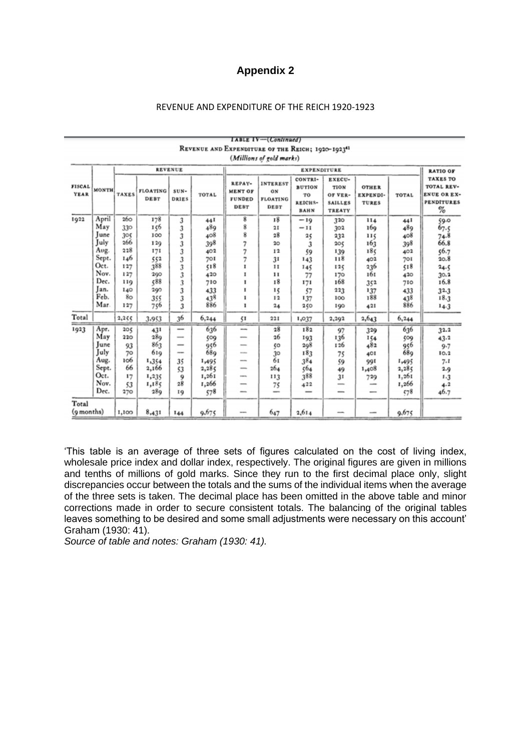# **Appendix 2**

#### REVENUE AND EXPENDITURE OF THE REICH 1920-1923

|                              |                |              |                                |                          |                    |                                                          | WE'LENGE AND EXPENDITURE OF THE REIGH; 1920-1923"<br>(Millions of gold marks) |                                                          |                                                       |                                          |            |                                                                                  |
|------------------------------|----------------|--------------|--------------------------------|--------------------------|--------------------|----------------------------------------------------------|-------------------------------------------------------------------------------|----------------------------------------------------------|-------------------------------------------------------|------------------------------------------|------------|----------------------------------------------------------------------------------|
|                              | <b>REVENUE</b> |              |                                |                          | <b>EXPENDITURE</b> |                                                          |                                                                               |                                                          |                                                       | <b>RATIO OF</b>                          |            |                                                                                  |
| <b>FISCAL</b><br><b>YEAR</b> | MONTH.         | <b>TAXES</b> | <b>FLOATING</b><br><b>DEBT</b> | $SUN -$<br>DRIES         | TOTAL              | REPAY-<br><b>MENT OF</b><br><b>FUNDED</b><br><b>DEBT</b> | <b>INTEREST</b><br>ON<br><b>FLOATING</b><br>DEBT                              | CONTRI-<br><b>BUTION</b><br>TO<br>REICHS-<br><b>BAHN</b> | EXECU-<br>TION<br>OF VER-<br><b>SAILLES</b><br>TREATY | <b>OTHER</b><br>EXPENDI-<br><b>TURES</b> | TOTAL      | <b>TAXES TO</b><br>TOTAL REV-<br><b>ENUE OR EX-</b><br><b>PENDITURES</b><br>$\%$ |
| 1922                         | April<br>May   | 260<br>330   | 178<br>156                     | 3<br>3                   | 44 I<br>489        | 8<br>8                                                   | 18<br>21                                                                      | $-19$<br>$-11$                                           | 320<br>302                                            | 114<br>169                               | 441<br>489 | 59.0                                                                             |
|                              | June           | 305          | 100                            | 3                        | 408                | 8                                                        | 28                                                                            | 25                                                       | 232                                                   | щ                                        | 408        | 67.5<br>74.8                                                                     |
|                              | July           | 266          | 129                            | 3                        | 398                | 7                                                        | 20                                                                            | 3                                                        | 205                                                   | 163                                      | 398        | 66.8                                                                             |
|                              | Aug.           | 228          | 171                            | 3                        | 402                | 7                                                        | 12                                                                            | 59                                                       | 139                                                   | 185                                      | 402        | 56.7                                                                             |
|                              | Sept.          | 146          | 552                            | 3                        | 701                | 7                                                        | 31                                                                            | 143                                                      | 118                                                   | 402                                      | 701        | 20.8                                                                             |
|                              | Oct.           | 127          | 388                            | 3                        | 518                | 1                                                        | $_{11}$                                                                       | 145                                                      | 125                                                   | 236                                      | 518        | 24.5                                                                             |
|                              | Nov.           | 127          | 290                            | 3                        | 420                |                                                          | $^{11}$                                                                       | 77                                                       | 170                                                   | 161                                      | 420        | 30.2                                                                             |
|                              | Dec.           | 119          | 588                            | 3                        | 710                |                                                          | 18                                                                            | 171                                                      | 168                                                   | 352                                      | 710        | 16.8                                                                             |
|                              | Jan.           | 140          | 290                            | 3                        | 433                | 1                                                        | 15                                                                            | 57                                                       | 223                                                   | 137                                      | 433        | $32 - 3$                                                                         |
|                              | Feb.           | 80           | 355                            | 3                        | 438                | 1                                                        | 12                                                                            | 137                                                      | 100                                                   | 188                                      | 438        | 18.3                                                                             |
|                              | Mar.           | 127          | 756                            | 3                        | 886                | ı                                                        | $^{24}$                                                                       | 250                                                      | 190                                                   | 421                                      | 886        | $14-3$                                                                           |
| Total                        |                | 2,255        | 3,953                          | 36                       | 6,244              | 51                                                       | 221                                                                           | 1,037                                                    | 2,292                                                 | 2,643                                    | 6,244      |                                                                                  |
| 1923                         | Apr.           | 205          | 431                            | $\overline{\phantom{a}}$ | 636                | $\overline{\phantom{a}}$                                 | 28                                                                            | 182                                                      | 97                                                    | 329                                      | 636        | 32.2                                                                             |
|                              | May            | 220          | 289                            | $\overline{\phantom{a}}$ | 509                | $\overline{\phantom{a}}$                                 | 26                                                                            | 193                                                      | 136                                                   | 154                                      | 509        | 43.2                                                                             |
|                              | June           | 93           | 863                            | -                        | 956                |                                                          | ζO                                                                            | 298                                                      | 126                                                   | 482                                      | 956        | $9 - 7$                                                                          |
|                              | July           | 70           | 619                            | $-$                      | 689                | <b>SHOW</b>                                              | 30                                                                            | 183                                                      | 75                                                    | 401                                      | 689        | $I$ O. $2$                                                                       |
|                              | Aug.           | 106          | 1,354                          | 35                       | 1,495              | $\overline{\phantom{a}}$                                 | 61                                                                            | 384                                                      | 59                                                    | 991                                      | 1,495      | 7.1                                                                              |
|                              | Sept.          | 66           | 2,166                          | 53                       | 2,285              | -                                                        | 264                                                                           | 564                                                      | 49                                                    | 1,408                                    | 2,285      | 2.9                                                                              |
|                              | Oct.           | 17           | 1,235                          | 9                        | 1,261              | <b>SHOW</b>                                              | 113                                                                           | 388                                                      | 31                                                    | 729                                      | 1,261      | 1.3                                                                              |
|                              | Nov.<br>Dec.   | 53<br>270    | 1,185<br>28Q                   | 28                       | 1,266              | $\overline{\phantom{a}}$<br>-                            | 75<br>-                                                                       | 422                                                      | -<br>-                                                | $-$                                      | 1,266      | 4.2                                                                              |
|                              |                |              |                                | 19                       | 578                |                                                          |                                                                               |                                                          |                                                       | $\overline{\phantom{a}}$                 | 578        | 46.7                                                                             |
| Total<br>(9 months)          |                | 1,100        | 8,431                          | 144                      | 9,675              | --                                                       | 647                                                                           | 2,614                                                    |                                                       |                                          | 9,675      |                                                                                  |

## $I$ ABLE  $IV$ -(Continued) REVENUE AND EXPENDITURE OF THE REICH: 1020-102241

'This table is an average of three sets of figures calculated on the cost of living index, wholesale price index and dollar index, respectively. The original figures are given in millions and tenths of millions of gold marks. Since they run to the first decimal place only, slight discrepancies occur between the totals and the sums of the individual items when the average of the three sets is taken. The decimal place has been omitted in the above table and minor corrections made in order to secure consistent totals. The balancing of the original tables leaves something to be desired and some small adjustments were necessary on this account' Graham (1930: 41).

*Source of table and notes: Graham (1930: 41).*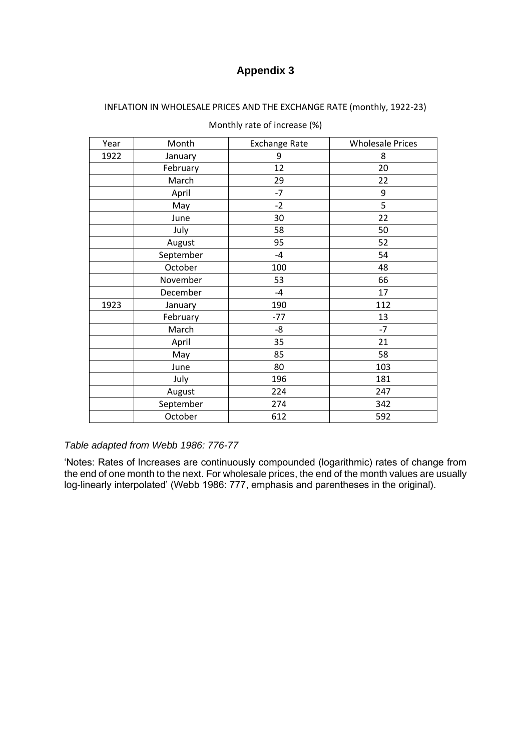# **Appendix 3**

## INFLATION IN WHOLESALE PRICES AND THE EXCHANGE RATE (monthly, 1922-23)

| Year | Month     | <b>Exchange Rate</b> | <b>Wholesale Prices</b> |
|------|-----------|----------------------|-------------------------|
| 1922 | January   | 9                    | 8                       |
|      | February  | 12                   | 20                      |
|      | March     | 29                   | 22                      |
|      | April     | $-7$                 | 9                       |
|      | May       | $-2$                 | 5                       |
|      | June      | 30                   | 22                      |
|      | July      | 58                   | 50                      |
|      | August    | 95                   | 52                      |
|      | September | $-4$                 | 54                      |
|      | October   | 100                  | 48                      |
|      | November  | 53                   | 66                      |
|      | December  | $-4$                 | 17                      |
| 1923 | January   | 190                  | 112                     |
|      | February  | $-77$                | 13                      |
|      | March     | -8                   | $-7$                    |
|      | April     | 35                   | 21                      |
|      | May       | 85                   | 58                      |
|      | June      | 80                   | 103                     |
|      | July      | 196                  | 181                     |
|      | August    | 224                  | 247                     |
|      | September | 274                  | 342                     |
|      | October   | 612                  | 592                     |

Monthly rate of increase (%)

### *Table adapted from Webb 1986: 776-77*

'Notes: Rates of Increases are continuously compounded (logarithmic) rates of change from the end of one month to the next. For wholesale prices, the end of the month values are usually log-linearly interpolated' (Webb 1986: 777, emphasis and parentheses in the original).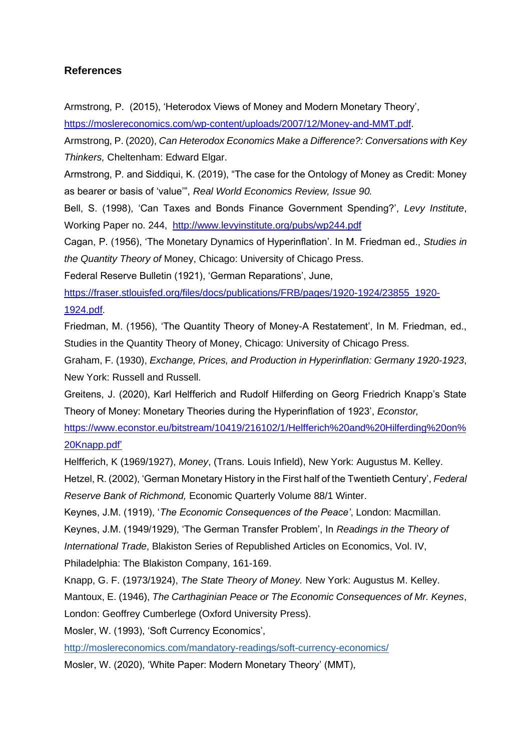# **References**

Armstrong, P. (2015), 'Heterodox Views of Money and Modern Monetary Theory',

[https://moslereconomics.com/wp-content/uploads/2007/12/Money-and-MMT.pdf.](https://moslereconomics.com/wp-content/uploads/2007/12/Money-and-MMT.pdf)

Armstrong, P. (2020), *Can Heterodox Economics Make a Difference?: Conversations with Key Thinkers,* Cheltenham: Edward Elgar.

Armstrong, P. and Siddiqui, K. (2019), "The case for the Ontology of Money as Credit: Money as bearer or basis of 'value'", *Real World Economics Review, Issue 90.*

Bell, S. (1998), 'Can Taxes and Bonds Finance Government Spending?', *Levy Institute*, Working Paper no. 244, <http://www.levyinstitute.org/pubs/wp244.pdf>

Cagan, P. (1956), 'The Monetary Dynamics of Hyperinflation'. In M. Friedman ed., *Studies in the Quantity Theory of* Money, Chicago: University of Chicago Press.

Federal Reserve Bulletin (1921), 'German Reparations', June,

[https://fraser.stlouisfed.org/files/docs/publications/FRB/pages/1920-1924/23855\\_1920-](https://fraser.stlouisfed.org/files/docs/publications/FRB/pages/1920-1924/23855_1920-1924.pdf) [1924.pdf.](https://fraser.stlouisfed.org/files/docs/publications/FRB/pages/1920-1924/23855_1920-1924.pdf)

Friedman, M. (1956), 'The Quantity Theory of Money-A Restatement', In M. Friedman, ed., Studies in the Quantity Theory of Money, Chicago: University of Chicago Press.

Graham, F. (1930), *Exchange, Prices, and Production in Hyperinflation: Germany 1920-1923*, New York: Russell and Russell.

Greitens, J. (2020), Karl Helfferich and Rudolf Hilferding on Georg Friedrich Knapp's State Theory of Money: Monetary Theories during the Hyperinflation of 1923', *Econstor,*

[https://www.econstor.eu/bitstream/10419/216102/1/Helfferich%20and%20Hilferding%20on%](https://www.econstor.eu/bitstream/10419/216102/1/Helfferich%20and%20Hilferding%20on%20Knapp.pdf) [20Knapp.pdf'](https://www.econstor.eu/bitstream/10419/216102/1/Helfferich%20and%20Hilferding%20on%20Knapp.pdf)

Helfferich, K (1969/1927), *Money*, (Trans. Louis Infield), New York: Augustus M. Kelley.

Hetzel, R. (2002), 'German Monetary History in the First half of the Twentieth Century', *Federal Reserve Bank of Richmond,* Economic Quarterly Volume 88/1 Winter.

Keynes, J.M. (1919), '*The Economic Consequences of the Peace'*, London: Macmillan.

Keynes, J.M. (1949/1929), 'The German Transfer Problem', In *Readings in the Theory of*

*International Trade*, Blakiston Series of Republished Articles on Economics, Vol. IV,

Philadelphia: The Blakiston Company, 161-169.

Knapp, G. F. (1973/1924), *The State Theory of Money.* New York: Augustus M. Kelley.

Mantoux, E. (1946), *The Carthaginian Peace or The Economic Consequences of Mr. Keynes*,

London: Geoffrey Cumberlege (Oxford University Press).

Mosler, W. (1993), 'Soft Currency Economics',

<http://moslereconomics.com/mandatory-readings/soft-currency-economics/>

Mosler, W. (2020), 'White Paper: Modern Monetary Theory' (MMT),